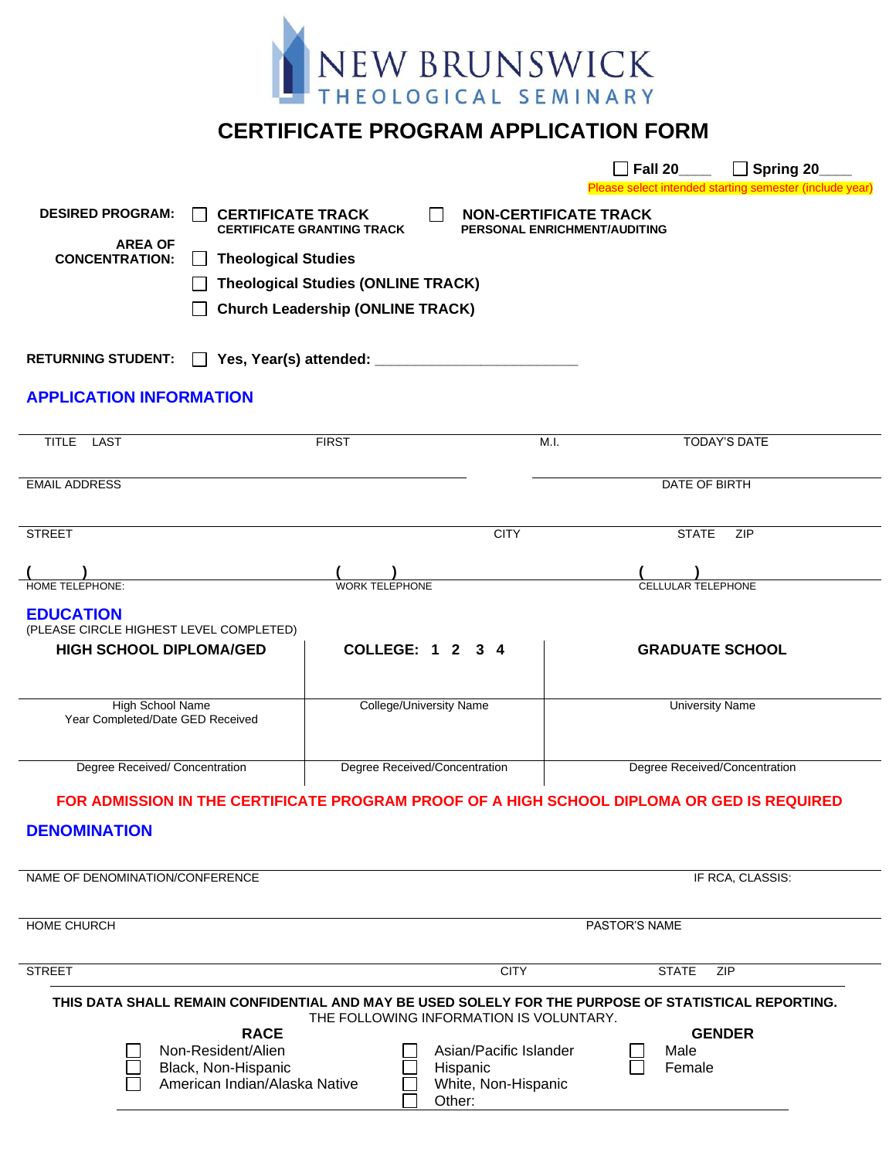

## **CERTIFICATE PROGRAM APPLICATION FORM**

|                                                                           |                                                                                                      |                                                                   |                                         |                              | <b>Fall 20</b>                | $\Box$ Spring 20 $\Box$<br>Please select intended starting semester (include year) |  |
|---------------------------------------------------------------------------|------------------------------------------------------------------------------------------------------|-------------------------------------------------------------------|-----------------------------------------|------------------------------|-------------------------------|------------------------------------------------------------------------------------|--|
| <b>DESIRED PROGRAM:</b>                                                   | <b>CERTIFICATE TRACK</b>                                                                             |                                                                   |                                         | <b>NON-CERTIFICATE TRACK</b> |                               |                                                                                    |  |
| <b>AREA OF</b>                                                            |                                                                                                      | <b>CERTIFICATE GRANTING TRACK</b><br>PERSONAL ENRICHMENT/AUDITING |                                         |                              |                               |                                                                                    |  |
|                                                                           | <b>Theological Studies</b><br><b>CONCENTRATION:</b><br>$\mathsf{L}$                                  |                                                                   |                                         |                              |                               |                                                                                    |  |
|                                                                           |                                                                                                      | <b>Theological Studies (ONLINE TRACK)</b>                         |                                         |                              |                               |                                                                                    |  |
|                                                                           |                                                                                                      | <b>Church Leadership (ONLINE TRACK)</b>                           |                                         |                              |                               |                                                                                    |  |
| <b>RETURNING STUDENT:</b>                                                 |                                                                                                      |                                                                   |                                         |                              |                               |                                                                                    |  |
| <b>APPLICATION INFORMATION</b>                                            |                                                                                                      |                                                                   |                                         |                              |                               |                                                                                    |  |
| TITLE LAST                                                                |                                                                                                      | <b>FIRST</b>                                                      |                                         | M.I.                         |                               | <b>TODAY'S DATE</b>                                                                |  |
| <b>EMAIL ADDRESS</b>                                                      |                                                                                                      |                                                                   |                                         |                              | DATE OF BIRTH                 |                                                                                    |  |
| <b>STREET</b>                                                             |                                                                                                      |                                                                   | <b>CITY</b>                             |                              | <b>STATE</b>                  | <b>ZIP</b>                                                                         |  |
| <b>HOME TELEPHONE:</b>                                                    |                                                                                                      | <b>WORK TELEPHONE</b>                                             |                                         |                              | <b>CELLULAR TELEPHONE</b>     |                                                                                    |  |
| <b>EDUCATION</b>                                                          |                                                                                                      |                                                                   |                                         |                              |                               |                                                                                    |  |
| (PLEASE CIRCLE HIGHEST LEVEL COMPLETED)<br><b>HIGH SCHOOL DIPLOMA/GED</b> |                                                                                                      |                                                                   | COLLEGE: 1 2 3 4                        |                              | <b>GRADUATE SCHOOL</b>        |                                                                                    |  |
|                                                                           |                                                                                                      |                                                                   |                                         |                              |                               |                                                                                    |  |
| High School Name<br>Year Completed/Date GED Received                      |                                                                                                      |                                                                   | College/University Name                 |                              | <b>University Name</b>        |                                                                                    |  |
| Degree Received/ Concentration                                            |                                                                                                      |                                                                   | Degree Received/Concentration           |                              | Degree Received/Concentration |                                                                                    |  |
|                                                                           | FOR ADMISSION IN THE CERTIFICATE PROGRAM PROOF OF A HIGH SCHOOL DIPLOMA OR GED IS REQUIRED           |                                                                   |                                         |                              |                               |                                                                                    |  |
| <b>DENOMINATION</b>                                                       |                                                                                                      |                                                                   |                                         |                              |                               |                                                                                    |  |
| NAME OF DENOMINATION/CONFERENCE                                           |                                                                                                      |                                                                   |                                         |                              |                               | IF RCA, CLASSIS:                                                                   |  |
| <b>HOME CHURCH</b>                                                        | PASTOR'S NAME                                                                                        |                                                                   |                                         |                              |                               |                                                                                    |  |
| <b>STREET</b>                                                             |                                                                                                      |                                                                   | <b>CITY</b>                             |                              | <b>STATE</b>                  | ZIP                                                                                |  |
|                                                                           |                                                                                                      |                                                                   |                                         |                              |                               |                                                                                    |  |
|                                                                           | THIS DATA SHALL REMAIN CONFIDENTIAL AND MAY BE USED SOLELY FOR THE PURPOSE OF STATISTICAL REPORTING. |                                                                   | THE FOLLOWING INFORMATION IS VOLUNTARY. |                              |                               |                                                                                    |  |
|                                                                           | <b>RACE</b><br>Non-Resident/Alien                                                                    |                                                                   | Asian/Pacific Islander                  |                              | <b>GENDER</b><br>Male         |                                                                                    |  |
| Black, Non-Hispanic                                                       |                                                                                                      | Hispanic                                                          |                                         | Female                       |                               |                                                                                    |  |
|                                                                           | American Indian/Alaska Native                                                                        |                                                                   | White, Non-Hispanic<br>Other:           |                              |                               |                                                                                    |  |